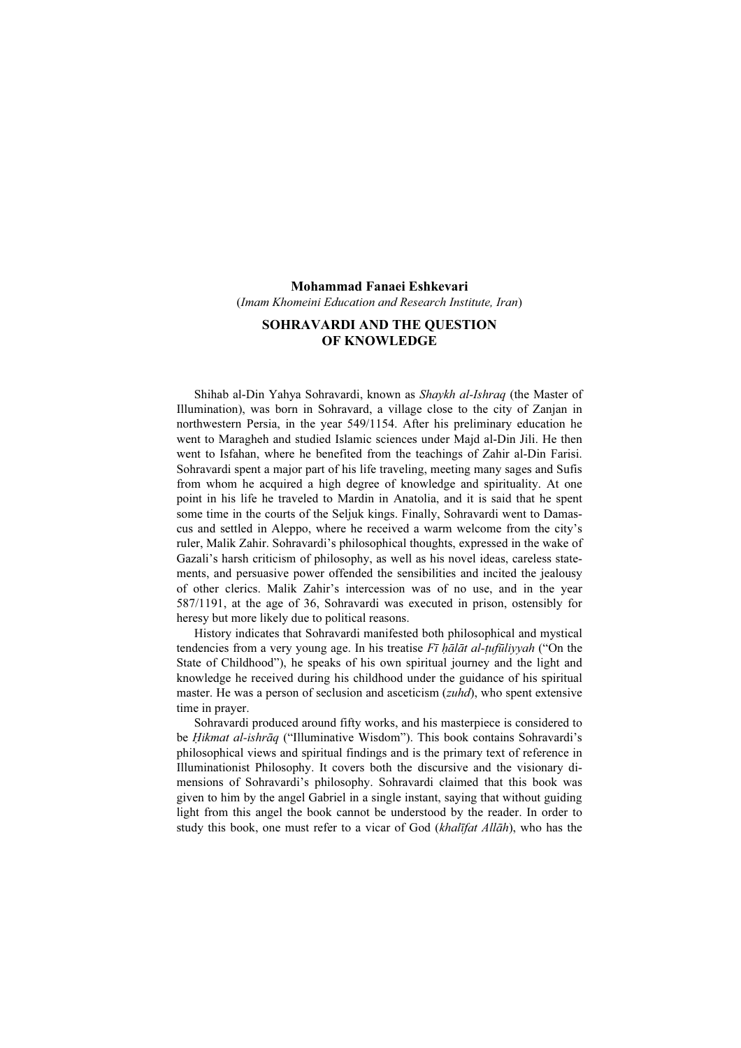# Mohammad Fanaei Eshkevari (Imam Khomeini Education and Research Institute, Iran)

# SOHRAVARDI AND THE QUESTION OF KNOWLEDGE

Shihab al-Din Yahya Sohravardi, known as Shaykh al-Ishraq (the Master of Illumination), was born in Sohravard, a village close to the city of Zanjan in northwestern Persia, in the year 549/1154. After his preliminary education he went to Maragheh and studied Islamic sciences under Majd al-Din Jili. He then went to Isfahan, where he benefited from the teachings of Zahir al-Din Farisi. Sohravardi spent a major part of his life traveling, meeting many sages and Sufis from whom he acquired a high degree of knowledge and spirituality. At one point in his life he traveled to Mardin in Anatolia, and it is said that he spent some time in the courts of the Seljuk kings. Finally, Sohravardi went to Damascus and settled in Aleppo, where he received a warm welcome from the city's ruler, Malik Zahir. Sohravardi's philosophical thoughts, expressed in the wake of Gazali's harsh criticism of philosophy, as well as his novel ideas, careless statements, and persuasive power offended the sensibilities and incited the jealousy of other clerics. Malik Zahir's intercession was of no use, and in the year 587/1191, at the age of 36, Sohravardi was executed in prison, ostensibly for heresy but more likely due to political reasons.

History indicates that Sohravardi manifested both philosophical and mystical tendencies from a very young age. In his treatise  $F\bar{\imath}$  halat al-tufuliyyah ("On the State of Childhood"), he speaks of his own spiritual journey and the light and knowledge he received during his childhood under the guidance of his spiritual master. He was a person of seclusion and asceticism (*zuhd*), who spent extensive time in prayer.

Sohravardi produced around fifty works, and his masterpiece is considered to be *Hikmat al-ishrāq* ("Illuminative Wisdom"). This book contains Sohravardi's philosophical views and spiritual findings and is the primary text of reference in Illuminationist Philosophy. It covers both the discursive and the visionary dimensions of Sohravardi's philosophy. Sohravardi claimed that this book was given to him by the angel Gabriel in a single instant, saying that without guiding light from this angel the book cannot be understood by the reader. In order to study this book, one must refer to a vicar of God (khalīfat Allāh), who has the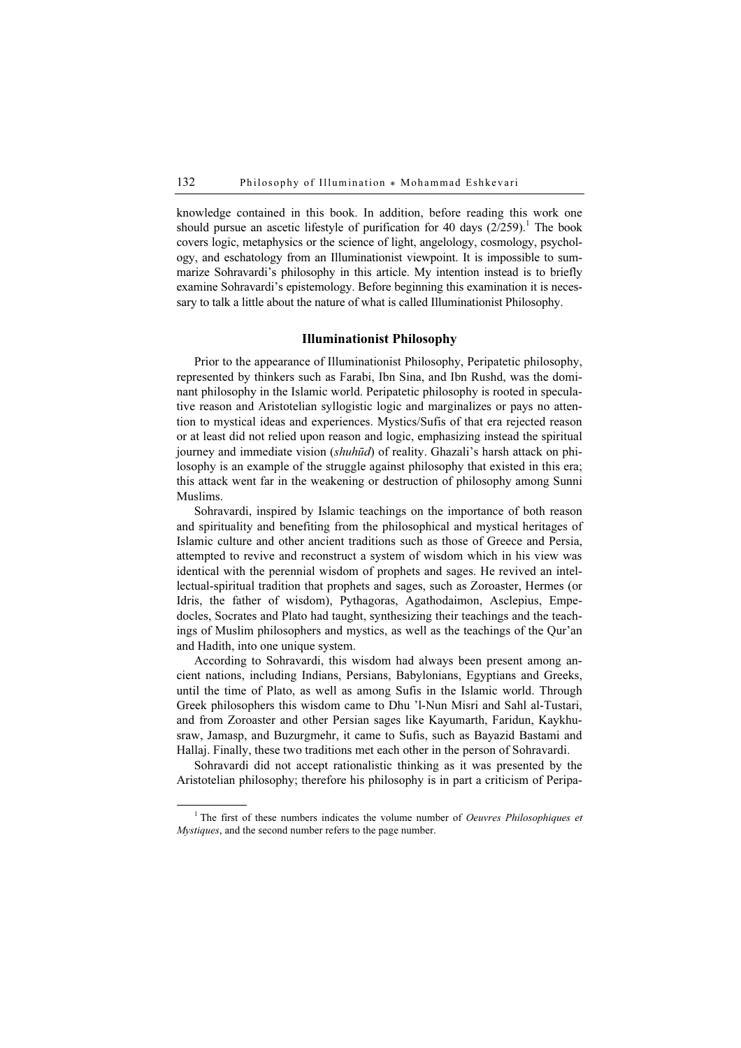knowledge contained in this book. In addition, before reading this work one should pursue an ascetic lifestyle of purification for 40 days  $(2/259)$ .<sup>1</sup> The book covers logic, metaphysics or the science of light, angelology, cosmology, psychology, and eschatology from an Illuminationist viewpoint. It is impossible to summarize Sohravardi's philosophy in this article. My intention instead is to briefly examine Sohravardi's epistemology. Before beginning this examination it is necessary to talk a little about the nature of what is called Illuminationist Philosophy.

### Illuminationist Philosophy

Prior to the appearance of Illuminationist Philosophy, Peripatetic philosophy, represented by thinkers such as Farabi, Ibn Sina, and Ibn Rushd, was the dominant philosophy in the Islamic world. Peripatetic philosophy is rooted in speculative reason and Aristotelian syllogistic logic and marginalizes or pays no attention to mystical ideas and experiences. Mystics/Sufis of that era rejected reason or at least did not relied upon reason and logic, emphasizing instead the spiritual journey and immediate vision *(shuhūd)* of reality. Ghazali's harsh attack on philosophy is an example of the struggle against philosophy that existed in this era; this attack went far in the weakening or destruction of philosophy among Sunni Muslims.

Sohravardi, inspired by Islamic teachings on the importance of both reason and spirituality and benefiting from the philosophical and mystical heritages of Islamic culture and other ancient traditions such as those of Greece and Persia, attempted to revive and reconstruct a system of wisdom which in his view was identical with the perennial wisdom of prophets and sages. He revived an intellectual-spiritual tradition that prophets and sages, such as Zoroaster, Hermes (or Idris, the father of wisdom), Pythagoras, Agathodaimon, Asclepius, Empedocles, Socrates and Plato had taught, synthesizing their teachings and the teachings of Muslim philosophers and mystics, as well as the teachings of the Qur'an and Hadith, into one unique system.

According to Sohravardi, this wisdom had always been present among ancient nations, including Indians, Persians, Babylonians, Egyptians and Greeks, until the time of Plato, as well as among Sufis in the Islamic world. Through Greek philosophers this wisdom came to Dhu 'l-Nun Misri and Sahl al-Tustari, and from Zoroaster and other Persian sages like Kayumarth, Faridun, Kaykhusraw, Jamasp, and Buzurgmehr, it came to Sufis, such as Bayazid Bastami and Hallaj. Finally, these two traditions met each other in the person of Sohravardi.

Sohravardi did not accept rationalistic thinking as it was presented by the Aristotelian philosophy; therefore his philosophy is in part a criticism of Peripa-

 $\frac{1}{1}$ <sup>1</sup> The first of these numbers indicates the volume number of *Oeuvres Philosophiques et* Mystiques, and the second number refers to the page number.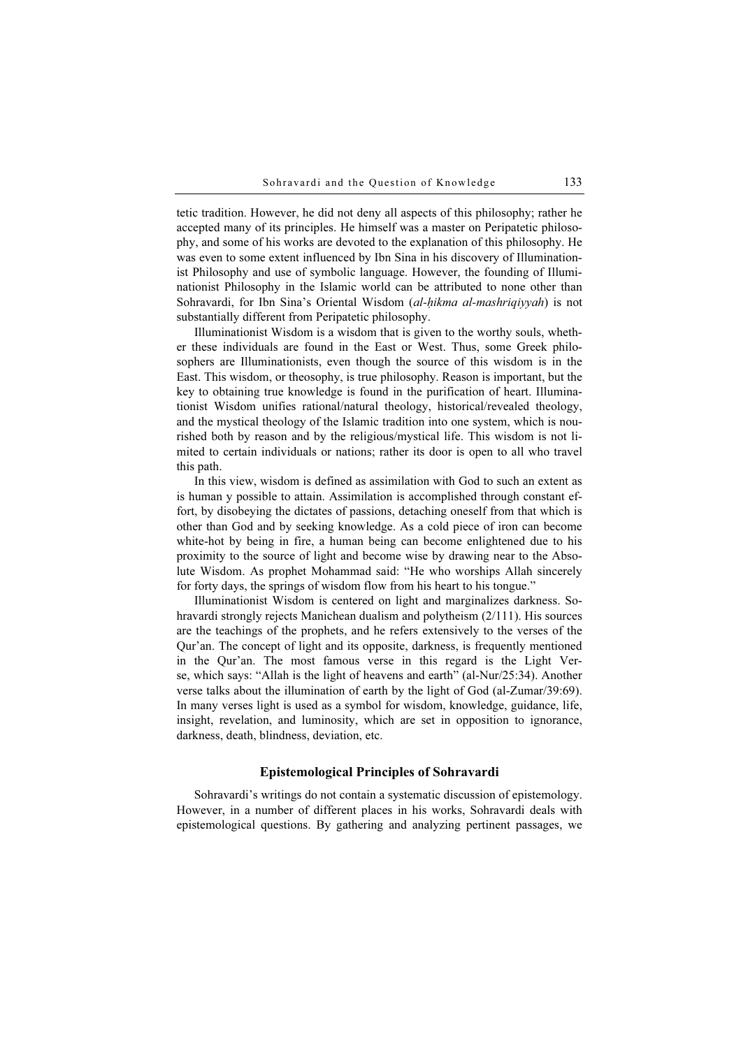tetic tradition. However, he did not deny all aspects of this philosophy; rather he accepted many of its principles. He himself was a master on Peripatetic philosophy, and some of his works are devoted to the explanation of this philosophy. He was even to some extent influenced by Ibn Sina in his discovery of Illuminationist Philosophy and use of symbolic language. However, the founding of Illuminationist Philosophy in the Islamic world can be attributed to none other than Sohravardi, for Ibn Sina's Oriental Wisdom (al-hikma al-mashriqiyyah) is not substantially different from Peripatetic philosophy.

Illuminationist Wisdom is a wisdom that is given to the worthy souls, whether these individuals are found in the East or West. Thus, some Greek philosophers are Illuminationists, even though the source of this wisdom is in the East. This wisdom, or theosophy, is true philosophy. Reason is important, but the key to obtaining true knowledge is found in the purification of heart. Illuminationist Wisdom unifies rational/natural theology, historical/revealed theology, and the mystical theology of the Islamic tradition into one system, which is nourished both by reason and by the religious/mystical life. This wisdom is not limited to certain individuals or nations; rather its door is open to all who travel this path.

In this view, wisdom is defined as assimilation with God to such an extent as is human y possible to attain. Assimilation is accomplished through constant effort, by disobeying the dictates of passions, detaching oneself from that which is other than God and by seeking knowledge. As a cold piece of iron can become white-hot by being in fire, a human being can become enlightened due to his proximity to the source of light and become wise by drawing near to the Absolute Wisdom. As prophet Mohammad said: "He who worships Allah sincerely for forty days, the springs of wisdom flow from his heart to his tongue."

Illuminationist Wisdom is centered on light and marginalizes darkness. Sohravardi strongly rejects Manichean dualism and polytheism (2/111). His sources are the teachings of the prophets, and he refers extensively to the verses of the Qur'an. The concept of light and its opposite, darkness, is frequently mentioned in the Qur'an. The most famous verse in this regard is the Light Verse, which says: "Allah is the light of heavens and earth" (al-Nur/25:34). Another verse talks about the illumination of earth by the light of God (al-Zumar/39:69). In many verses light is used as a symbol for wisdom, knowledge, guidance, life, insight, revelation, and luminosity, which are set in opposition to ignorance, darkness, death, blindness, deviation, etc.

### Epistemological Principles of Sohravardi

Sohravardi's writings do not contain a systematic discussion of epistemology. However, in a number of different places in his works, Sohravardi deals with epistemological questions. By gathering and analyzing pertinent passages, we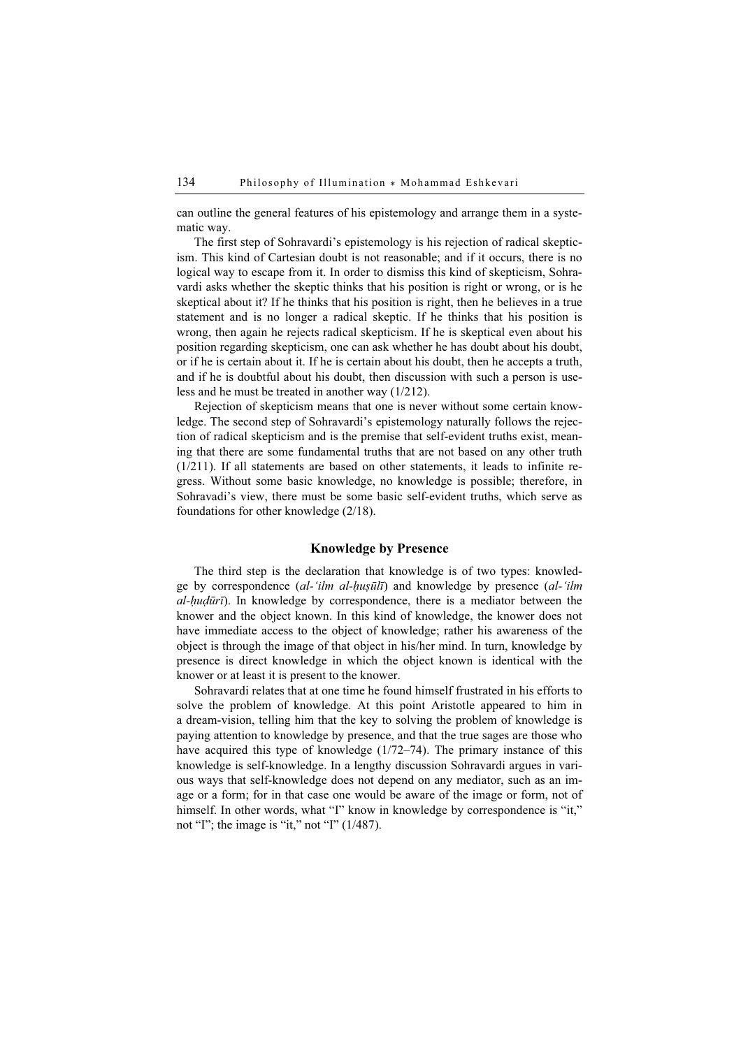can outline the general features of his epistemology and arrange them in a systematic way.

The first step of Sohravardi's epistemology is his rejection of radical skepticism. This kind of Cartesian doubt is not reasonable; and if it occurs, there is no logical way to escape from it. In order to dismiss this kind of skepticism, Sohravardi asks whether the skeptic thinks that his position is right or wrong, or is he skeptical about it? If he thinks that his position is right, then he believes in a true statement and is no longer a radical skeptic. If he thinks that his position is wrong, then again he rejects radical skepticism. If he is skeptical even about his position regarding skepticism, one can ask whether he has doubt about his doubt, or if he is certain about it. If he is certain about his doubt, then he accepts a truth, and if he is doubtful about his doubt, then discussion with such a person is useless and he must be treated in another way (1/212).

Rejection of skepticism means that one is never without some certain knowledge. The second step of Sohravardi's epistemology naturally follows the rejection of radical skepticism and is the premise that self-evident truths exist, meaning that there are some fundamental truths that are not based on any other truth (1/211). If all statements are based on other statements, it leads to infinite regress. Without some basic knowledge, no knowledge is possible; therefore, in Sohravadi's view, there must be some basic self-evident truths, which serve as foundations for other knowledge (2/18).

## Knowledge by Presence

The third step is the declaration that knowledge is of two types: knowledge by correspondence (al-'ilm al-huṣūlī) and knowledge by presence (al-'ilm  $al-hudūrī)$ . In knowledge by correspondence, there is a mediator between the knower and the object known. In this kind of knowledge, the knower does not have immediate access to the object of knowledge; rather his awareness of the object is through the image of that object in his/her mind. In turn, knowledge by presence is direct knowledge in which the object known is identical with the knower or at least it is present to the knower.

Sohravardi relates that at one time he found himself frustrated in his efforts to solve the problem of knowledge. At this point Aristotle appeared to him in a dream-vision, telling him that the key to solving the problem of knowledge is paying attention to knowledge by presence, and that the true sages are those who have acquired this type of knowledge (1/72–74). The primary instance of this knowledge is self-knowledge. In a lengthy discussion Sohravardi argues in various ways that self-knowledge does not depend on any mediator, such as an image or a form; for in that case one would be aware of the image or form, not of himself. In other words, what "I" know in knowledge by correspondence is "it," not "I"; the image is "it," not "I"  $(1/487)$ .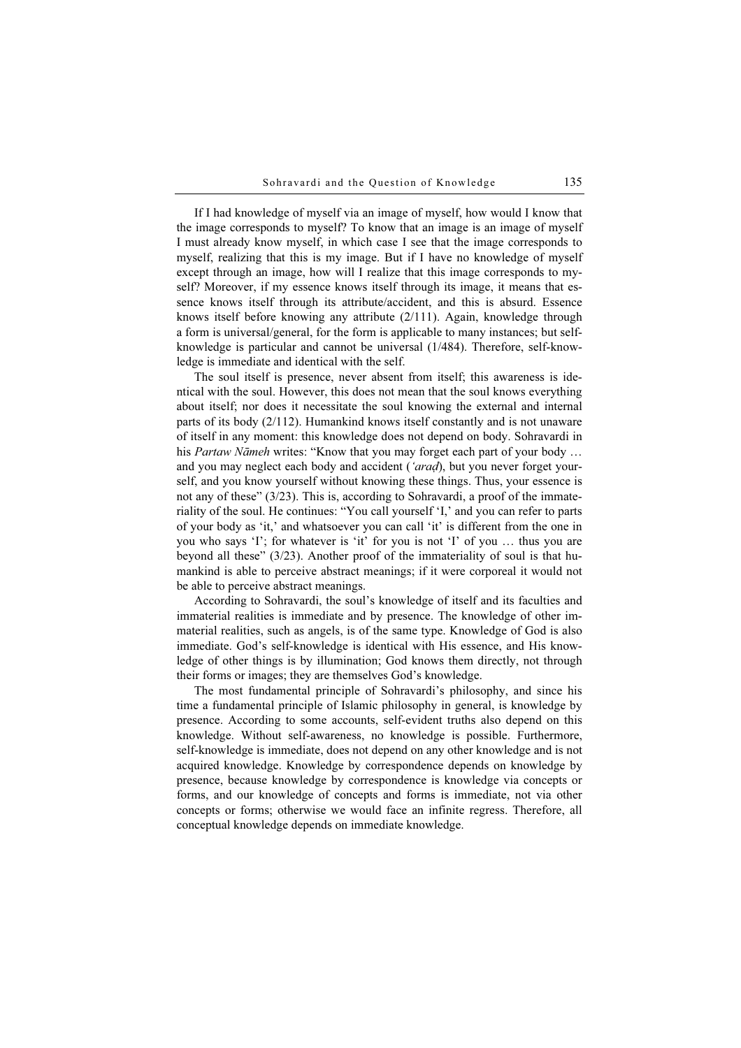If I had knowledge of myself via an image of myself, how would I know that the image corresponds to myself? To know that an image is an image of myself I must already know myself, in which case I see that the image corresponds to myself, realizing that this is my image. But if I have no knowledge of myself except through an image, how will I realize that this image corresponds to myself? Moreover, if my essence knows itself through its image, it means that essence knows itself through its attribute/accident, and this is absurd. Essence knows itself before knowing any attribute (2/111). Again, knowledge through a form is universal/general, for the form is applicable to many instances; but selfknowledge is particular and cannot be universal (1/484). Therefore, self-knowledge is immediate and identical with the self.

The soul itself is presence, never absent from itself; this awareness is identical with the soul. However, this does not mean that the soul knows everything about itself; nor does it necessitate the soul knowing the external and internal parts of its body (2/112). Humankind knows itself constantly and is not unaware of itself in any moment: this knowledge does not depend on body. Sohravardi in his Partaw Nāmeh writes: "Know that you may forget each part of your body ... and you may neglect each body and accident ('arad), but you never forget yourself, and you know yourself without knowing these things. Thus, your essence is not any of these" (3/23). This is, according to Sohravardi, a proof of the immateriality of the soul. He continues: "You call yourself 'I,' and you can refer to parts of your body as 'it,' and whatsoever you can call 'it' is different from the one in you who says 'I'; for whatever is 'it' for you is not 'I' of you … thus you are beyond all these" (3/23). Another proof of the immateriality of soul is that humankind is able to perceive abstract meanings; if it were corporeal it would not be able to perceive abstract meanings.

According to Sohravardi, the soul's knowledge of itself and its faculties and immaterial realities is immediate and by presence. The knowledge of other immaterial realities, such as angels, is of the same type. Knowledge of God is also immediate. God's self-knowledge is identical with His essence, and His knowledge of other things is by illumination; God knows them directly, not through their forms or images; they are themselves God's knowledge.

The most fundamental principle of Sohravardi's philosophy, and since his time a fundamental principle of Islamic philosophy in general, is knowledge by presence. According to some accounts, self-evident truths also depend on this knowledge. Without self-awareness, no knowledge is possible. Furthermore, self-knowledge is immediate, does not depend on any other knowledge and is not acquired knowledge. Knowledge by correspondence depends on knowledge by presence, because knowledge by correspondence is knowledge via concepts or forms, and our knowledge of concepts and forms is immediate, not via other concepts or forms; otherwise we would face an infinite regress. Therefore, all conceptual knowledge depends on immediate knowledge.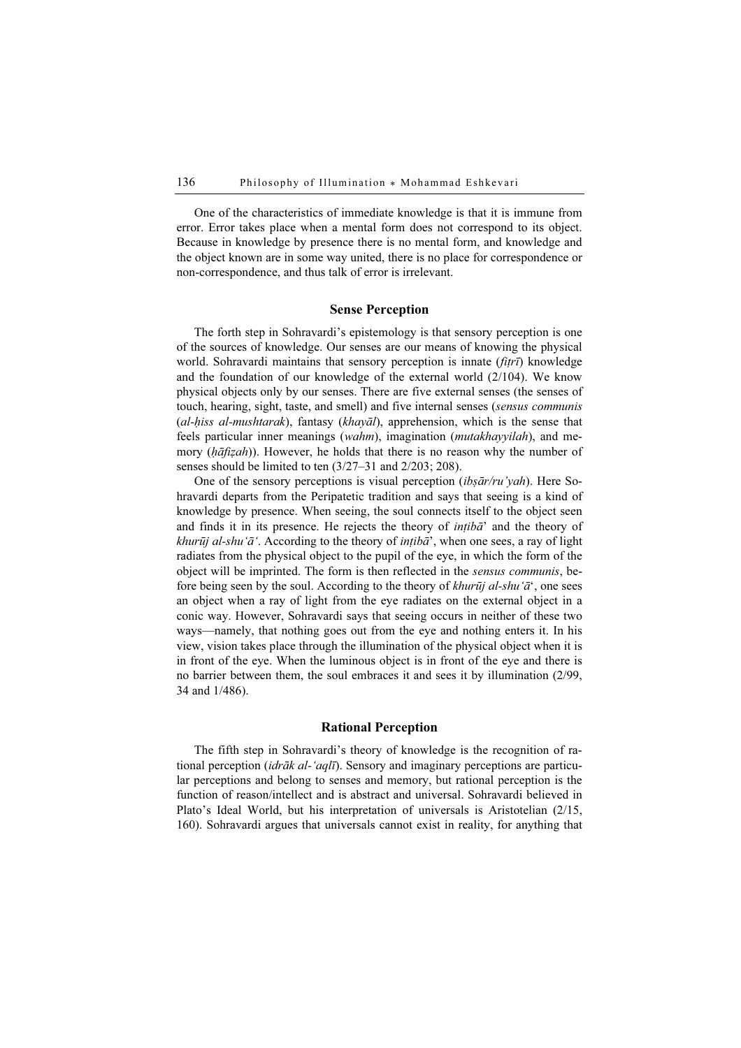One of the characteristics of immediate knowledge is that it is immune from error. Error takes place when a mental form does not correspond to its object. Because in knowledge by presence there is no mental form, and knowledge and the object known are in some way united, there is no place for correspondence or non-correspondence, and thus talk of error is irrelevant.

#### Sense Perception

The forth step in Sohravardi's epistemology is that sensory perception is one of the sources of knowledge. Our senses are our means of knowing the physical world. Sohravardi maintains that sensory perception is innate (fitrī) knowledge and the foundation of our knowledge of the external world (2/104). We know physical objects only by our senses. There are five external senses (the senses of touch, hearing, sight, taste, and smell) and five internal senses (sensus communis (al-hiss al-mushtarak), fantasy (khayāl), apprehension, which is the sense that feels particular inner meanings (wahm), imagination (mutakhayyilah), and memory (hāfizah)). However, he holds that there is no reason why the number of senses should be limited to ten (3/27–31 and 2/203; 208).

One of the sensory perceptions is visual perception (ibs $\bar{a}r/ru'yah$ ). Here Sohravardi departs from the Peripatetic tradition and says that seeing is a kind of knowledge by presence. When seeing, the soul connects itself to the object seen and finds it in its presence. He rejects the theory of  $intib\vec{a}$ ' and the theory of khurūj al-shu'ā'. According to the theory of ințibā', when one sees, a ray of light radiates from the physical object to the pupil of the eye, in which the form of the object will be imprinted. The form is then reflected in the sensus communis, before being seen by the soul. According to the theory of khurūj al-shu'ā', one sees an object when a ray of light from the eye radiates on the external object in a conic way. However, Sohravardi says that seeing occurs in neither of these two ways—namely, that nothing goes out from the eye and nothing enters it. In his view, vision takes place through the illumination of the physical object when it is in front of the eye. When the luminous object is in front of the eye and there is no barrier between them, the soul embraces it and sees it by illumination (2/99, 34 and 1/486).

### Rational Perception

The fifth step in Sohravardi's theory of knowledge is the recognition of rational perception (*idrāk al-'aqlī*). Sensory and imaginary perceptions are particular perceptions and belong to senses and memory, but rational perception is the function of reason/intellect and is abstract and universal. Sohravardi believed in Plato's Ideal World, but his interpretation of universals is Aristotelian (2/15, 160). Sohravardi argues that universals cannot exist in reality, for anything that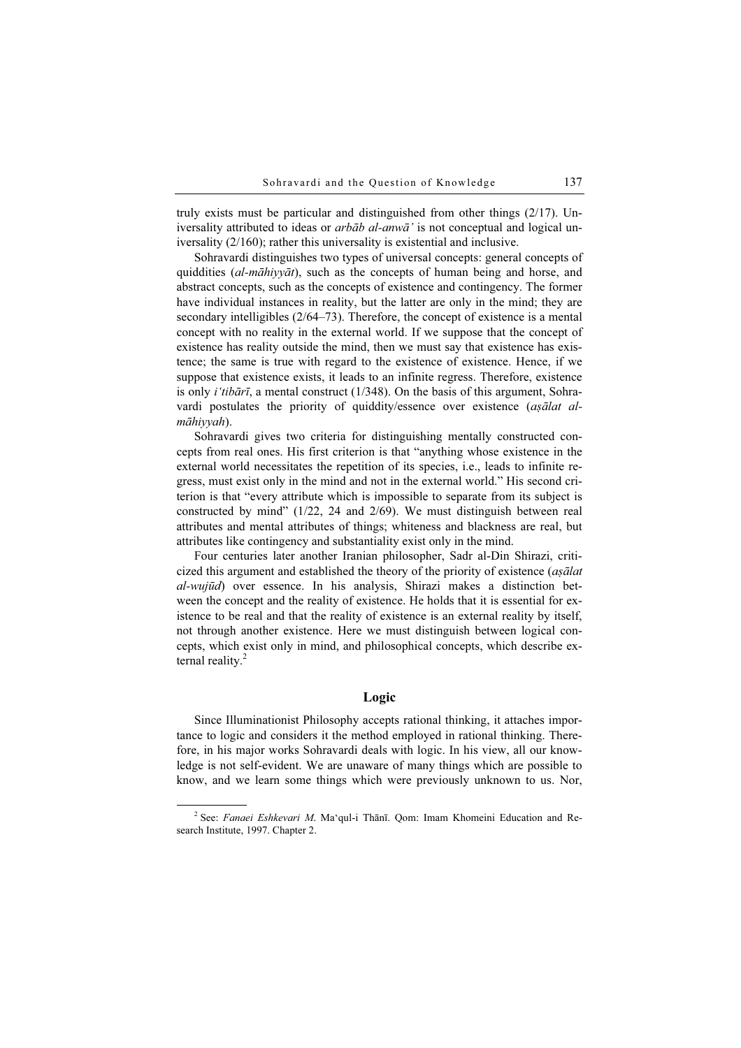truly exists must be particular and distinguished from other things (2/17). Universality attributed to ideas or *arbāb al-anwā* ' is not conceptual and logical universality (2/160); rather this universality is existential and inclusive.

Sohravardi distinguishes two types of universal concepts: general concepts of quiddities (al-māhiyyāt), such as the concepts of human being and horse, and abstract concepts, such as the concepts of existence and contingency. The former have individual instances in reality, but the latter are only in the mind; they are secondary intelligibles (2/64–73). Therefore, the concept of existence is a mental concept with no reality in the external world. If we suppose that the concept of existence has reality outside the mind, then we must say that existence has existence; the same is true with regard to the existence of existence. Hence, if we suppose that existence exists, it leads to an infinite regress. Therefore, existence is only *i'tibārī*, a mental construct ( $1/348$ ). On the basis of this argument, Sohravardi postulates the priority of quiddity/essence over existence (așālat almāhiyyah).

Sohravardi gives two criteria for distinguishing mentally constructed concepts from real ones. His first criterion is that "anything whose existence in the external world necessitates the repetition of its species, i.e., leads to infinite regress, must exist only in the mind and not in the external world." His second criterion is that "every attribute which is impossible to separate from its subject is constructed by mind" (1/22, 24 and 2/69). We must distinguish between real attributes and mental attributes of things; whiteness and blackness are real, but attributes like contingency and substantiality exist only in the mind.

Four centuries later another Iranian philosopher, Sadr al-Din Shirazi, criticized this argument and established the theory of the priority of existence (aṣālat al-wujūd) over essence. In his analysis, Shirazi makes a distinction between the concept and the reality of existence. He holds that it is essential for existence to be real and that the reality of existence is an external reality by itself, not through another existence. Here we must distinguish between logical concepts, which exist only in mind, and philosophical concepts, which describe external reality.<sup>2</sup>

### Logic

Since Illuminationist Philosophy accepts rational thinking, it attaches importance to logic and considers it the method employed in rational thinking. Therefore, in his major works Sohravardi deals with logic. In his view, all our knowledge is not self-evident. We are unaware of many things which are possible to know, and we learn some things which were previously unknown to us. Nor,

<sup>&</sup>lt;sup>2</sup> See: *Fanaei Eshkevari M*. Ma'qul-i Thānī. Qom: Imam Khomeini Education and Research Institute, 1997. Chapter 2.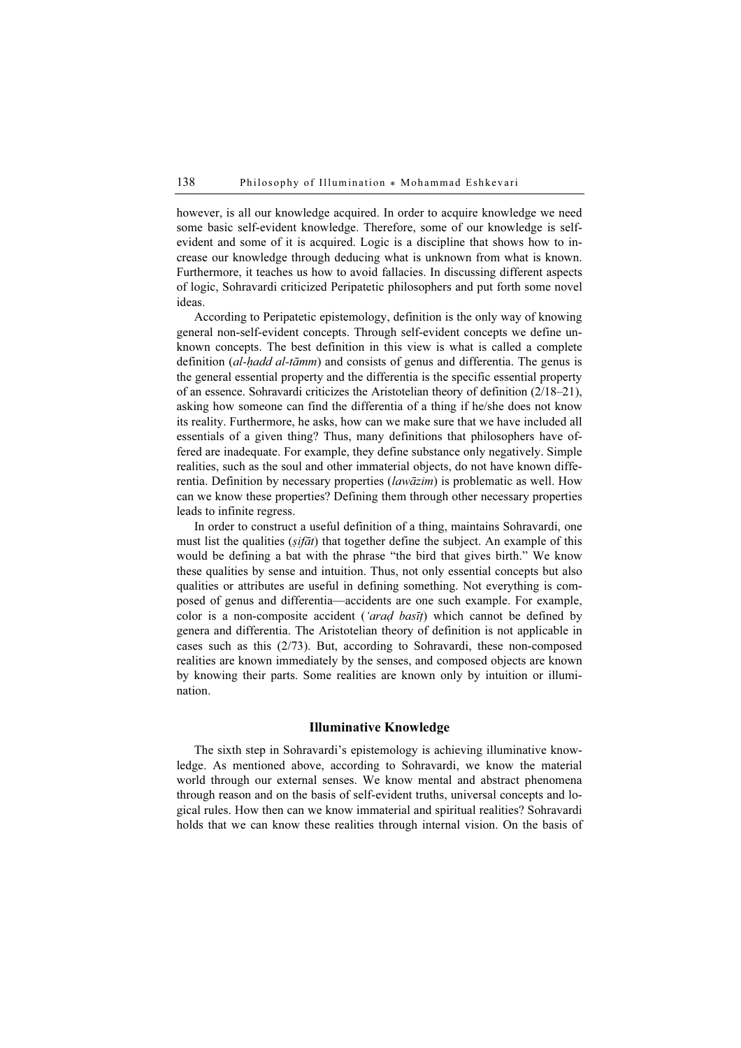however, is all our knowledge acquired. In order to acquire knowledge we need some basic self-evident knowledge. Therefore, some of our knowledge is selfevident and some of it is acquired. Logic is a discipline that shows how to increase our knowledge through deducing what is unknown from what is known. Furthermore, it teaches us how to avoid fallacies. In discussing different aspects of logic, Sohravardi criticized Peripatetic philosophers and put forth some novel ideas.

According to Peripatetic epistemology, definition is the only way of knowing general non-self-evident concepts. Through self-evident concepts we define unknown concepts. The best definition in this view is what is called a complete definition  $(al$ -hadd al-tāmm) and consists of genus and differentia. The genus is the general essential property and the differentia is the specific essential property of an essence. Sohravardi criticizes the Aristotelian theory of definition (2/18–21), asking how someone can find the differentia of a thing if he/she does not know its reality. Furthermore, he asks, how can we make sure that we have included all essentials of a given thing? Thus, many definitions that philosophers have offered are inadequate. For example, they define substance only negatively. Simple realities, such as the soul and other immaterial objects, do not have known differentia. Definition by necessary properties (lawāzim) is problematic as well. How can we know these properties? Defining them through other necessary properties leads to infinite regress.

In order to construct a useful definition of a thing, maintains Sohravardi, one must list the qualities ( $sif\bar{a}t$ ) that together define the subject. An example of this would be defining a bat with the phrase "the bird that gives birth." We know these qualities by sense and intuition. Thus, not only essential concepts but also qualities or attributes are useful in defining something. Not everything is composed of genus and differentia—accidents are one such example. For example, color is a non-composite accident ('arad basīt) which cannot be defined by genera and differentia. The Aristotelian theory of definition is not applicable in cases such as this (2/73). But, according to Sohravardi, these non-composed realities are known immediately by the senses, and composed objects are known by knowing their parts. Some realities are known only by intuition or illumination.

## Illuminative Knowledge

The sixth step in Sohravardi's epistemology is achieving illuminative knowledge. As mentioned above, according to Sohravardi, we know the material world through our external senses. We know mental and abstract phenomena through reason and on the basis of self-evident truths, universal concepts and logical rules. How then can we know immaterial and spiritual realities? Sohravardi holds that we can know these realities through internal vision. On the basis of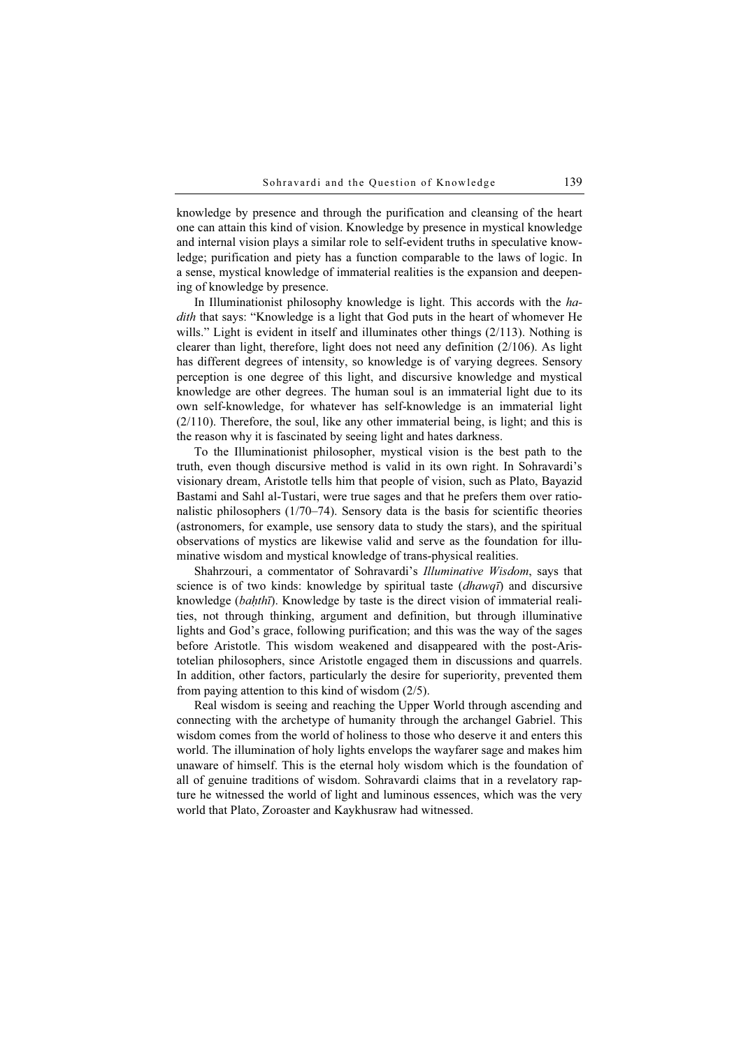knowledge by presence and through the purification and cleansing of the heart one can attain this kind of vision. Knowledge by presence in mystical knowledge and internal vision plays a similar role to self-evident truths in speculative knowledge; purification and piety has a function comparable to the laws of logic. In a sense, mystical knowledge of immaterial realities is the expansion and deepening of knowledge by presence.

In Illuminationist philosophy knowledge is light. This accords with the hadith that says: "Knowledge is a light that God puts in the heart of whomever He wills." Light is evident in itself and illuminates other things (2/113). Nothing is clearer than light, therefore, light does not need any definition (2/106). As light has different degrees of intensity, so knowledge is of varying degrees. Sensory perception is one degree of this light, and discursive knowledge and mystical knowledge are other degrees. The human soul is an immaterial light due to its own self-knowledge, for whatever has self-knowledge is an immaterial light (2/110). Therefore, the soul, like any other immaterial being, is light; and this is the reason why it is fascinated by seeing light and hates darkness.

To the Illuminationist philosopher, mystical vision is the best path to the truth, even though discursive method is valid in its own right. In Sohravardi's visionary dream, Aristotle tells him that people of vision, such as Plato, Bayazid Bastami and Sahl al-Tustari, were true sages and that he prefers them over rationalistic philosophers (1/70–74). Sensory data is the basis for scientific theories (astronomers, for example, use sensory data to study the stars), and the spiritual observations of mystics are likewise valid and serve as the foundation for illuminative wisdom and mystical knowledge of trans-physical realities.

Shahrzouri, a commentator of Sohravardi's Illuminative Wisdom, says that science is of two kinds: knowledge by spiritual taste (*dhawqī*) and discursive knowledge (bahthī). Knowledge by taste is the direct vision of immaterial realities, not through thinking, argument and definition, but through illuminative lights and God's grace, following purification; and this was the way of the sages before Aristotle. This wisdom weakened and disappeared with the post-Aristotelian philosophers, since Aristotle engaged them in discussions and quarrels. In addition, other factors, particularly the desire for superiority, prevented them from paying attention to this kind of wisdom (2/5).

Real wisdom is seeing and reaching the Upper World through ascending and connecting with the archetype of humanity through the archangel Gabriel. This wisdom comes from the world of holiness to those who deserve it and enters this world. The illumination of holy lights envelops the wayfarer sage and makes him unaware of himself. This is the eternal holy wisdom which is the foundation of all of genuine traditions of wisdom. Sohravardi claims that in a revelatory rapture he witnessed the world of light and luminous essences, which was the very world that Plato, Zoroaster and Kaykhusraw had witnessed.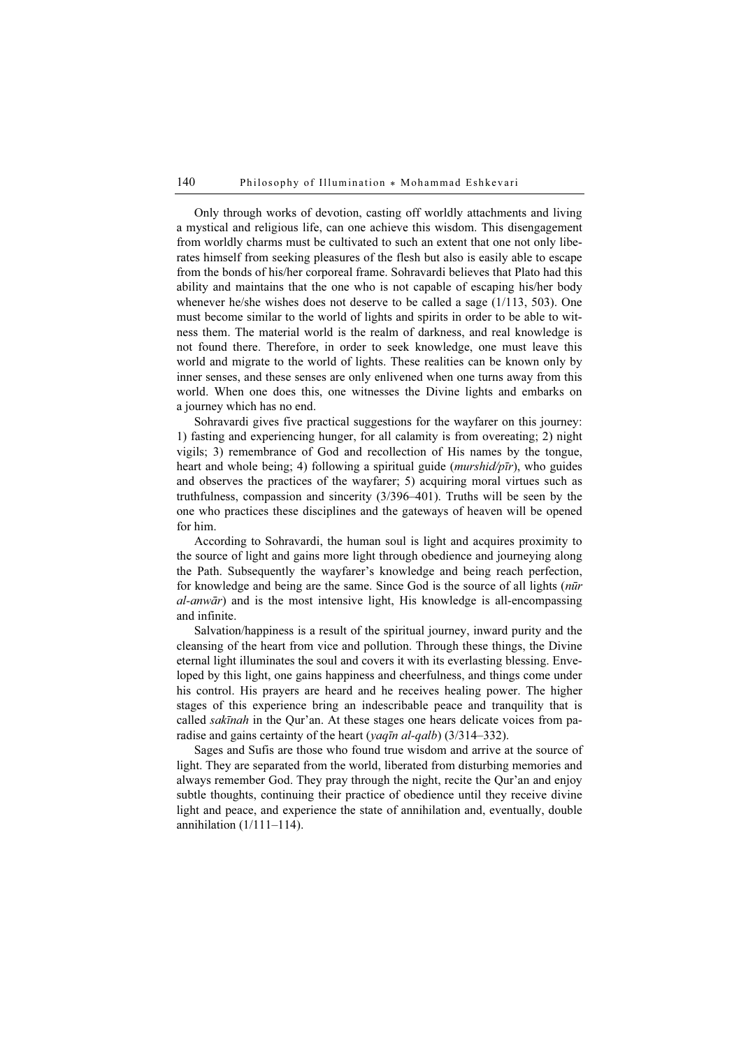Only through works of devotion, casting off worldly attachments and living a mystical and religious life, can one achieve this wisdom. This disengagement from worldly charms must be cultivated to such an extent that one not only liberates himself from seeking pleasures of the flesh but also is easily able to escape from the bonds of his/her corporeal frame. Sohravardi believes that Plato had this ability and maintains that the one who is not capable of escaping his/her body whenever he/she wishes does not deserve to be called a sage (1/113, 503). One must become similar to the world of lights and spirits in order to be able to witness them. The material world is the realm of darkness, and real knowledge is not found there. Therefore, in order to seek knowledge, one must leave this world and migrate to the world of lights. These realities can be known only by inner senses, and these senses are only enlivened when one turns away from this world. When one does this, one witnesses the Divine lights and embarks on a journey which has no end.

Sohravardi gives five practical suggestions for the wayfarer on this journey: 1) fasting and experiencing hunger, for all calamity is from overeating; 2) night vigils; 3) remembrance of God and recollection of His names by the tongue, heart and whole being; 4) following a spiritual guide *(murshid/pīr)*, who guides and observes the practices of the wayfarer; 5) acquiring moral virtues such as truthfulness, compassion and sincerity (3/396–401). Truths will be seen by the one who practices these disciplines and the gateways of heaven will be opened for him.

According to Sohravardi, the human soul is light and acquires proximity to the source of light and gains more light through obedience and journeying along the Path. Subsequently the wayfarer's knowledge and being reach perfection, for knowledge and being are the same. Since God is the source of all lights (nūr al-anwār) and is the most intensive light, His knowledge is all-encompassing and infinite.

Salvation/happiness is a result of the spiritual journey, inward purity and the cleansing of the heart from vice and pollution. Through these things, the Divine eternal light illuminates the soul and covers it with its everlasting blessing. Enveloped by this light, one gains happiness and cheerfulness, and things come under his control. His prayers are heard and he receives healing power. The higher stages of this experience bring an indescribable peace and tranquility that is called sakīnah in the Qur'an. At these stages one hears delicate voices from paradise and gains certainty of the heart (yaqīn al-qalb) (3/314–332).

Sages and Sufis are those who found true wisdom and arrive at the source of light. They are separated from the world, liberated from disturbing memories and always remember God. They pray through the night, recite the Qur'an and enjoy subtle thoughts, continuing their practice of obedience until they receive divine light and peace, and experience the state of annihilation and, eventually, double annihilation  $(1/111-114)$ .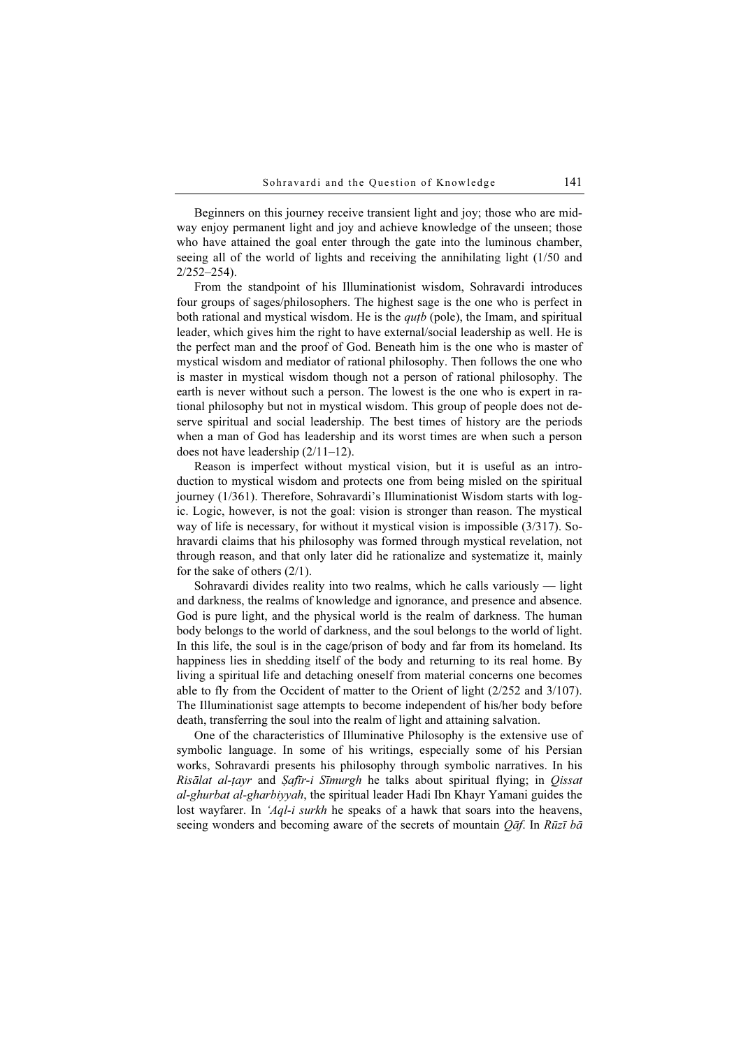Beginners on this journey receive transient light and joy; those who are midway enjoy permanent light and joy and achieve knowledge of the unseen; those who have attained the goal enter through the gate into the luminous chamber, seeing all of the world of lights and receiving the annihilating light (1/50 and 2/252–254).

From the standpoint of his Illuminationist wisdom, Sohravardi introduces four groups of sages/philosophers. The highest sage is the one who is perfect in both rational and mystical wisdom. He is the  $q$ u<sub>t</sub>b (pole), the Imam, and spiritual leader, which gives him the right to have external/social leadership as well. He is the perfect man and the proof of God. Beneath him is the one who is master of mystical wisdom and mediator of rational philosophy. Then follows the one who is master in mystical wisdom though not a person of rational philosophy. The earth is never without such a person. The lowest is the one who is expert in rational philosophy but not in mystical wisdom. This group of people does not deserve spiritual and social leadership. The best times of history are the periods when a man of God has leadership and its worst times are when such a person does not have leadership (2/11–12).

Reason is imperfect without mystical vision, but it is useful as an introduction to mystical wisdom and protects one from being misled on the spiritual journey (1/361). Therefore, Sohravardi's Illuminationist Wisdom starts with logic. Logic, however, is not the goal: vision is stronger than reason. The mystical way of life is necessary, for without it mystical vision is impossible (3/317). Sohravardi claims that his philosophy was formed through mystical revelation, not through reason, and that only later did he rationalize and systematize it, mainly for the sake of others (2/1).

Sohravardi divides reality into two realms, which he calls variously — light and darkness, the realms of knowledge and ignorance, and presence and absence. God is pure light, and the physical world is the realm of darkness. The human body belongs to the world of darkness, and the soul belongs to the world of light. In this life, the soul is in the cage/prison of body and far from its homeland. Its happiness lies in shedding itself of the body and returning to its real home. By living a spiritual life and detaching oneself from material concerns one becomes able to fly from the Occident of matter to the Orient of light (2/252 and 3/107). The Illuminationist sage attempts to become independent of his/her body before death, transferring the soul into the realm of light and attaining salvation.

One of the characteristics of Illuminative Philosophy is the extensive use of symbolic language. In some of his writings, especially some of his Persian works, Sohravardi presents his philosophy through symbolic narratives. In his Risālat al-ṭayr and Ṣafīr-i Sīmurgh he talks about spiritual flying; in Qissat al-ghurbat al-gharbiyyah, the spiritual leader Hadi Ibn Khayr Yamani guides the lost wayfarer. In 'Aql-i surkh he speaks of a hawk that soars into the heavens, seeing wonders and becoming aware of the secrets of mountain  $Q\bar{a}f$ . In Rūzī bā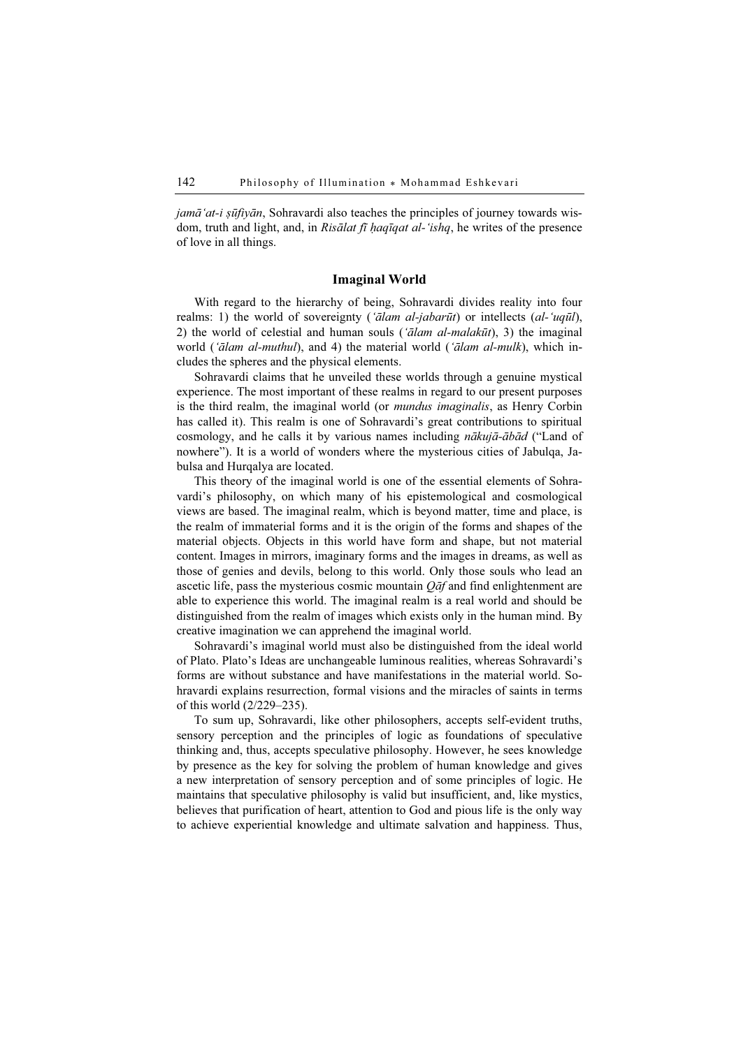$j$ amā'at-i şūfiyān, Sohravardi also teaches the principles of journey towards wisdom, truth and light, and, in Risālat fī haqīqat al-'ishq, he writes of the presence of love in all things.

#### Imaginal World

With regard to the hierarchy of being, Sohravardi divides reality into four realms: 1) the world of sovereignty ('alam al-jabarūt) or intellects (al-'uqūl), 2) the world of celestial and human souls (' $\bar{a}$ lam al-malakūt), 3) the imaginal world ('ālam al-muthul), and 4) the material world ('ālam al-mulk), which includes the spheres and the physical elements.

Sohravardi claims that he unveiled these worlds through a genuine mystical experience. The most important of these realms in regard to our present purposes is the third realm, the imaginal world (or mundus imaginalis, as Henry Corbin has called it). This realm is one of Sohravardi's great contributions to spiritual cosmology, and he calls it by various names including nākujā-ābād ("Land of nowhere"). It is a world of wonders where the mysterious cities of Jabulqa, Jabulsa and Hurqalya are located.

This theory of the imaginal world is one of the essential elements of Sohravardi's philosophy, on which many of his epistemological and cosmological views are based. The imaginal realm, which is beyond matter, time and place, is the realm of immaterial forms and it is the origin of the forms and shapes of the material objects. Objects in this world have form and shape, but not material content. Images in mirrors, imaginary forms and the images in dreams, as well as those of genies and devils, belong to this world. Only those souls who lead an ascetic life, pass the mysterious cosmic mountain  $Q\bar{a}f$  and find enlightenment are able to experience this world. The imaginal realm is a real world and should be distinguished from the realm of images which exists only in the human mind. By creative imagination we can apprehend the imaginal world.

Sohravardi's imaginal world must also be distinguished from the ideal world of Plato. Plato's Ideas are unchangeable luminous realities, whereas Sohravardi's forms are without substance and have manifestations in the material world. Sohravardi explains resurrection, formal visions and the miracles of saints in terms of this world (2/229–235).

To sum up, Sohravardi, like other philosophers, accepts self-evident truths, sensory perception and the principles of logic as foundations of speculative thinking and, thus, accepts speculative philosophy. However, he sees knowledge by presence as the key for solving the problem of human knowledge and gives a new interpretation of sensory perception and of some principles of logic. He maintains that speculative philosophy is valid but insufficient, and, like mystics, believes that purification of heart, attention to God and pious life is the only way to achieve experiential knowledge and ultimate salvation and happiness. Thus,